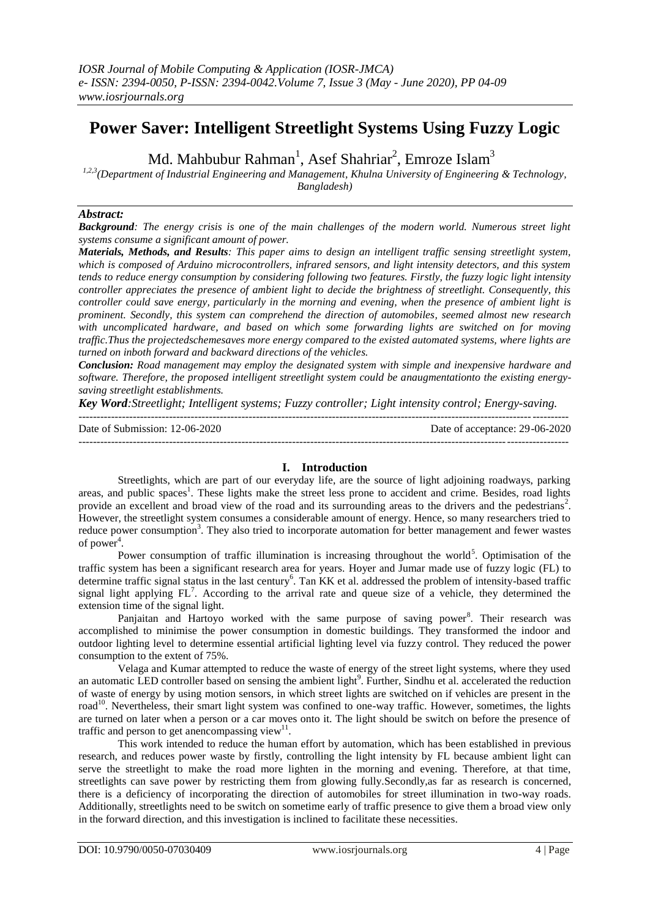# **Power Saver: Intelligent Streetlight Systems Using Fuzzy Logic**

Md. Mahbubur Rahman<sup>1</sup>, Asef Shahriar<sup>2</sup>, Emroze Islam<sup>3</sup>

*1,2,3(Department of Industrial Engineering and Management, Khulna University of Engineering & Technology, Bangladesh)*

### *Abstract:*

*Background: The energy crisis is one of the main challenges of the modern world. Numerous street light systems consume a significant amount of power.*

*Materials, Methods, and Results: This paper aims to design an intelligent traffic sensing streetlight system, which is composed of Arduino microcontrollers, infrared sensors, and light intensity detectors, and this system tends to reduce energy consumption by considering following two features. Firstly, the fuzzy logic light intensity controller appreciates the presence of ambient light to decide the brightness of streetlight. Consequently, this controller could save energy, particularly in the morning and evening, when the presence of ambient light is prominent. Secondly, this system can comprehend the direction of automobiles, seemed almost new research with uncomplicated hardware, and based on which some forwarding lights are switched on for moving traffic.Thus the projectedschemesaves more energy compared to the existed automated systems, where lights are turned on inboth forward and backward directions of the vehicles.*

*Conclusion: Road management may employ the designated system with simple and inexpensive hardware and software. Therefore, the proposed intelligent streetlight system could be anaugmentationto the existing energysaving streetlight establishments.*

*Key Word:Streetlight; Intelligent systems; Fuzzy controller; Light intensity control; Energy-saving.*

| Date of Submission: $12-06-2020$ | Date of acceptance: 29-06-2020 |
|----------------------------------|--------------------------------|
|                                  |                                |

## **I. Introduction**

Streetlights, which are part of our everyday life, are the source of light adjoining roadways, parking areas, and public spaces<sup>1</sup>. These lights make the street less prone to accident and crime. Besides, road lights provide an excellent and broad view of the road and its surrounding areas to the drivers and the pedestrians<sup>2</sup>. However, the streetlight system consumes a considerable amount of energy. Hence, so many researchers tried to reduce power consumption<sup>3</sup>. They also tried to incorporate automation for better management and fewer wastes of power<sup>4</sup>.

Power consumption of traffic illumination is increasing throughout the world<sup>5</sup>. Optimisation of the traffic system has been a significant research area for years. Hoyer and Jumar made use of fuzzy logic (FL) to determine traffic signal status in the last century<sup>6</sup>. Tan KK et al. addressed the problem of intensity-based traffic signal light applying  $FL<sup>7</sup>$ . According to the arrival rate and queue size of a vehicle, they determined the extension time of the signal light.

Panjaitan and Hartoyo worked with the same purpose of saving power<sup>8</sup>. Their research was accomplished to minimise the power consumption in domestic buildings. They transformed the indoor and outdoor lighting level to determine essential artificial lighting level via fuzzy control. They reduced the power consumption to the extent of 75%.

Velaga and Kumar attempted to reduce the waste of energy of the street light systems, where they used an automatic LED controller based on sensing the ambient light<sup>9</sup>. Further, Sindhu et al. accelerated the reduction of waste of energy by using motion sensors, in which street lights are switched on if vehicles are present in the road<sup>10</sup>. Nevertheless, their smart light system was confined to one-way traffic. However, sometimes, the lights are turned on later when a person or a car moves onto it. The light should be switch on before the presence of traffic and person to get anencompassing view $11$ .

This work intended to reduce the human effort by automation, which has been established in previous research, and reduces power waste by firstly, controlling the light intensity by FL because ambient light can serve the streetlight to make the road more lighten in the morning and evening. Therefore, at that time, streetlights can save power by restricting them from glowing fully.Secondly,as far as research is concerned, there is a deficiency of incorporating the direction of automobiles for street illumination in two-way roads. Additionally, streetlights need to be switch on sometime early of traffic presence to give them a broad view only in the forward direction, and this investigation is inclined to facilitate these necessities.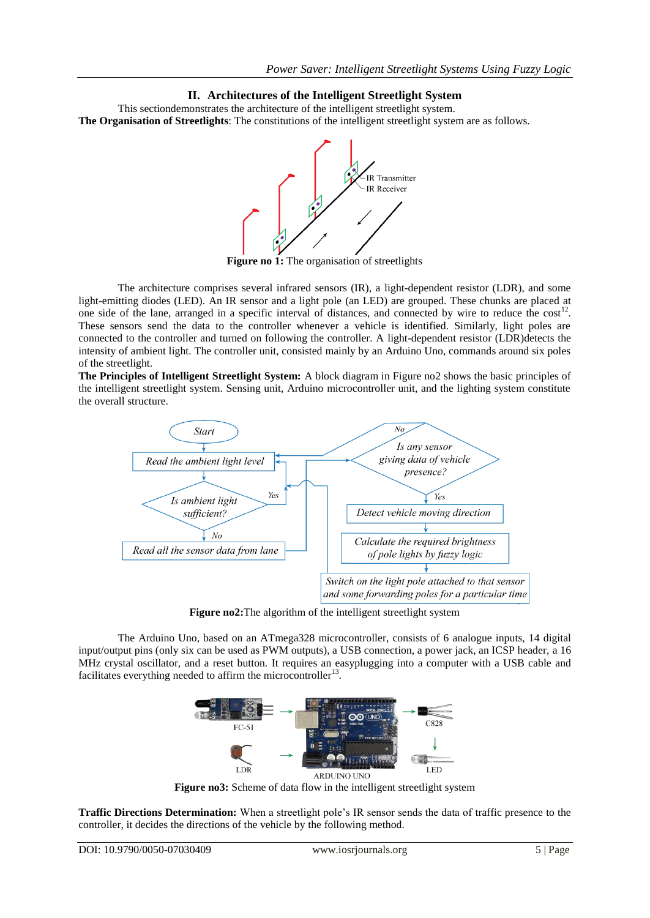# **II. Architectures of the Intelligent Streetlight System**

This sectiondemonstrates the architecture of the intelligent streetlight system. **The Organisation of Streetlights**: The constitutions of the intelligent streetlight system are as follows.



**Figure no 1:** The organisation of streetlights

The architecture comprises several infrared sensors (IR), a light-dependent resistor (LDR), and some light-emitting diodes (LED). An IR sensor and a light pole (an LED) are grouped. These chunks are placed at one side of the lane, arranged in a specific interval of distances, and connected by wire to reduce the  $cost<sup>12</sup>$ . These sensors send the data to the controller whenever a vehicle is identified. Similarly, light poles are connected to the controller and turned on following the controller. A light-dependent resistor (LDR)detects the intensity of ambient light. The controller unit, consisted mainly by an Arduino Uno, commands around six poles of the streetlight.

**The Principles of Intelligent Streetlight System:** A block diagram in Figure no2 shows the basic principles of the intelligent streetlight system. Sensing unit, Arduino microcontroller unit, and the lighting system constitute the overall structure.



**Figure no2:**The algorithm of the intelligent streetlight system

The Arduino Uno, based on an ATmega328 microcontroller, consists of 6 analogue inputs, 14 digital input/output pins (only six can be used as PWM outputs), a USB connection, a power jack, an ICSP header, a 16 MHz crystal oscillator, and a reset button. It requires an easyplugging into a computer with a USB cable and facilitates everything needed to affirm the microcontroller<sup>13</sup>.



**Figure no3:** Scheme of data flow in the intelligent streetlight system

**Traffic Directions Determination:** When a streetlight pole's IR sensor sends the data of traffic presence to the controller, it decides the directions of the vehicle by the following method.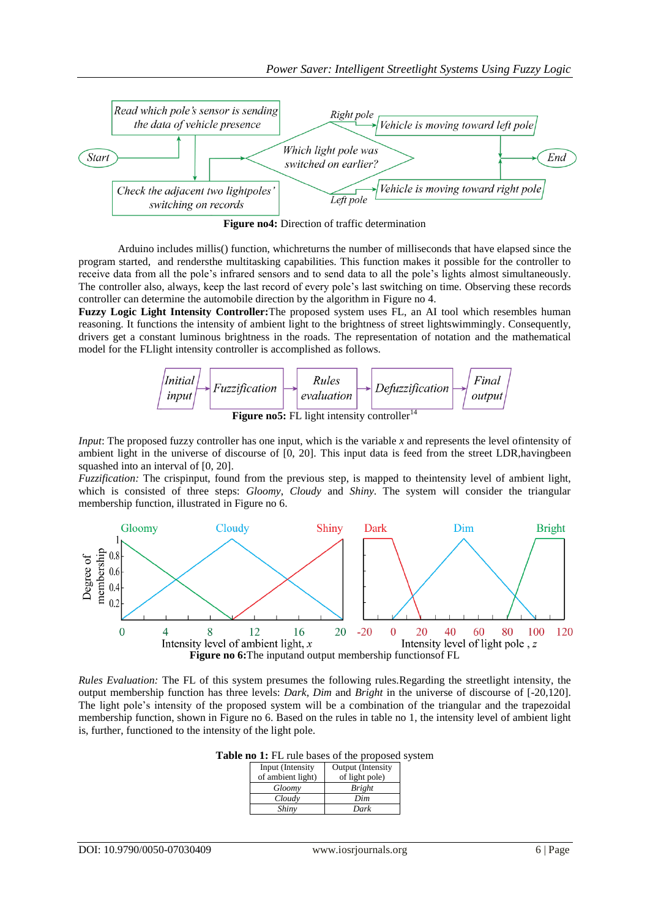

**Figure no4:** Direction of traffic determination

Arduino includes millis() function, whichreturns the number of milliseconds that have elapsed since the program started, and rendersthe multitasking capabilities. This function makes it possible for the controller to receive data from all the pole's infrared sensors and to send data to all the pole's lights almost simultaneously. The controller also, always, keep the last record of every pole's last switching on time. Observing these records controller can determine the automobile direction by the algorithm in Figure no 4.

**Fuzzy Logic Light Intensity Controller:**The proposed system uses FL, an AI tool which resembles human reasoning. It functions the intensity of ambient light to the brightness of street lightswimmingly. Consequently, drivers get a constant luminous brightness in the roads. The representation of notation and the mathematical model for the FLlight intensity controller is accomplished as follows.



*Input*: The proposed fuzzy controller has one input, which is the variable x and represents the level of intensity of ambient light in the universe of discourse of [0, 20]. This input data is feed from the street LDR,havingbeen squashed into an interval of [0, 20].

*Fuzzification:* The crispinput, found from the previous step, is mapped to theintensity level of ambient light, which is consisted of three steps: *Gloomy*, *Cloudy* and *Shiny*. The system will consider the triangular membership function, illustrated in Figure no 6.



*Rules Evaluation:* The FL of this system presumes the following rules.Regarding the streetlight intensity, the output membership function has three levels: *Dark*, *Dim* and *Bright* in the universe of discourse of [-20,120]. The light pole's intensity of the proposed system will be a combination of the triangular and the trapezoidal membership function, shown in Figure no 6. Based on the rules in table no 1, the intensity level of ambient light is, further, functioned to the intensity of the light pole.

**Table no 1:** FL rule bases of the proposed system

| Input (Intensity  | Output (Intensity |
|-------------------|-------------------|
| of ambient light) | of light pole)    |
| Gloomy            | <b>Bright</b>     |
| Cloudy            | Dim               |
| Shiny             | Dark              |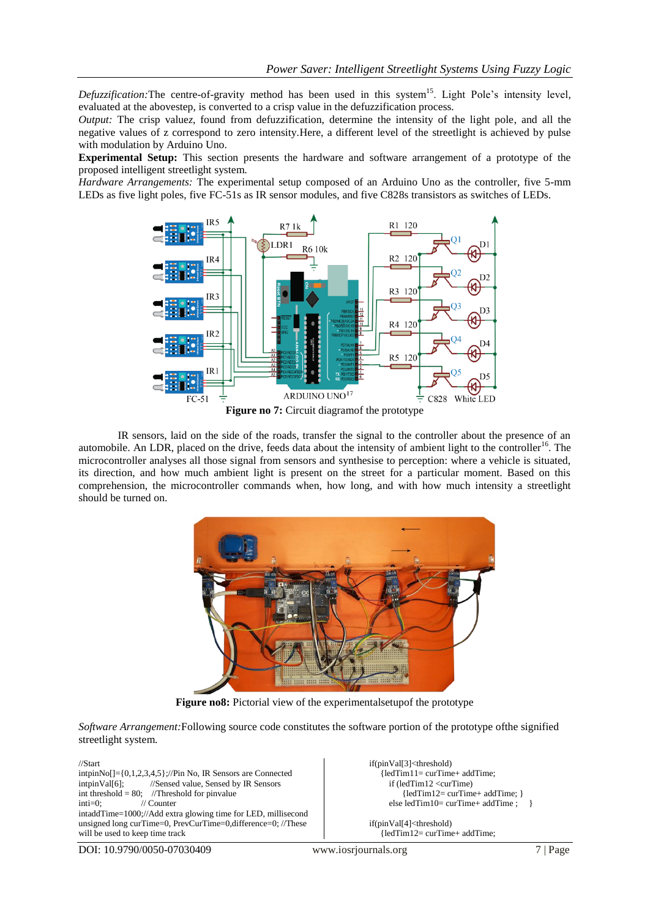Defuzzification: The centre-of-gravity method has been used in this system<sup>15</sup>. Light Pole's intensity level, evaluated at the abovestep, is converted to a crisp value in the defuzzification process.

*Output:* The crisp value*z*, found from defuzzification, determine the intensity of the light pole, and all the negative values of z correspond to zero intensity.Here, a different level of the streetlight is achieved by pulse with modulation by Arduino Uno.

**Experimental Setup:** This section presents the hardware and software arrangement of a prototype of the proposed intelligent streetlight system.

*Hardware Arrangements:* The experimental setup composed of an Arduino Uno as the controller, five 5-mm LEDs as five light poles, five FC-51s as IR sensor modules, and five C828s transistors as switches of LEDs.



IR sensors, laid on the side of the roads, transfer the signal to the controller about the presence of an automobile. An LDR, placed on the drive, feeds data about the intensity of ambient light to the controller<sup>16</sup>. The microcontroller analyses all those signal from sensors and synthesise to perception: where a vehicle is situated, its direction, and how much ambient light is present on the street for a particular moment. Based on this comprehension, the microcontroller commands when, how long, and with how much intensity a streetlight should be turned on.



**Figure no8:** Pictorial view of the experimental setupof the prototype

*Software Arrangement:*Following source code constitutes the software portion of the prototype ofthe signified streetlight system.

//Start intpinNo[]={0,1,2,3,4,5};//Pin No, IR Sensors are Connected intpinVal[6]; //Sensed value, Sensed by IR Sensors int threshold = 80; //Threshold for pinvalue inti=0; // Counter intaddTime=1000;//Add extra glowing time for LED, millisecond unsigned long curTime=0, PrevCurTime=0,difference=0; //These will be used to keep time track

if(pinVal[3]<threshold) {ledTim11= curTime+ addTime; if (ledTim12 <curTime) {ledTim12= curTime+ addTime; } else ledTim10= curTime+ addTime ; }

if(pinVal[4]<threshold) {ledTim12= curTime+ addTime;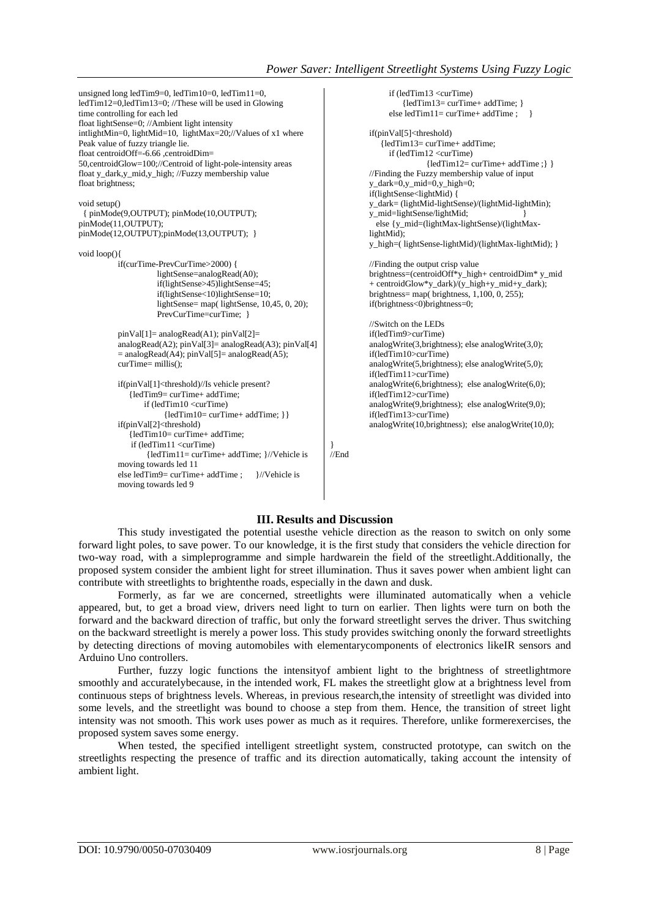```
unsigned long ledTim9=0, ledTim10=0, ledTim11=0, 
ledTim12=0,ledTim13=0; //These will be used in Glowing 
time controlling for each led
float lightSense=0; //Ambient light intensity
intlightMin=0, lightMid=10, lightMax=20;//Values of x1 where 
Peak value of fuzzy triangle lie. 
float centroidOff=-6.66 .centroidDim=
50,centroidGlow=100;//Centroid of light-pole-intensity areas
float y_dark,y_mid,y_high; //Fuzzy membership value
float brightness;
void setup()
  { pinMode(9,OUTPUT); pinMode(10,OUTPUT); 
pinMode(11,OUTPUT);
pinMode(12,OUTPUT);pinMode(13,OUTPUT); }
void loop(){ 
          if(curTime-PrevCurTime>2000) { 
                     lightSense=analogRead(A0); 
                     if(lightSense>45)lightSense=45;
                     if(lightSense<10)lightSense=10;
                     lightSense= map( lightSense, 10,45, 0, 20); 
                     PrevCurTime=curTime; }
          pinVal[1]=analogRead(A1); pinVal[2]=analogRead(A2); pinVal[3]= analogRead(A3); pinVal[4] 
          = analogRead(A4); pinVal[5]= analogRead(A5);
          curTime= millis();
          if(pinVal[1]<threshold)//Is vehicle present? 
               {ledTim9= curTime+ addTime;
                  if (ledTim10 <curTime)
                        {ledTim10= curTime+ addTime; }}
          if(pinVal[2]<threshold) 
               {ledTim10= curTime+ addTime;
               if (ledTim11 <curTime)
                   {ledTim11= curTime+ addTime; }//Vehicle is 
          moving towards led 11
          else ledTim9= curTime+ addTime ; }//Vehicle is 
          moving towards led 9
                                                                                     if (ledTim13 <curTime)
                                                                                         {ledTim13= curTime+ addTime; }
                                                                                    else ledTim11= curTime+ addTime ; \}if(pinVal[5]<threshold) 
                                                                                   {ledTim13= curTime+ addTime;
                                                                                     if (ledTim12 <curTime)
                                                                                               {ledTim12= curTime+ addTime ;} }
                                                                              //Finding the Fuzzy membership value of input
                                                                              y_dark=0,y_mid=0,y_high=0;
                                                                              if(lightSense<lightMid) {
                                                                              y_dark= (lightMid-lightSense)/(lightMid-lightMin);
                                                                              y_mid=lightSense/lightMid; }
                                                                                else {y_mid=(lightMax-lightSense)/(lightMax-
                                                                              lightMid); 
                                                                              y_high=( lightSense-lightMid)/(lightMax-lightMid); }
                                                                              //Finding the output crisp value 
                                                                              brightness=(centroidOff*y_high+ centroidDim* y_mid 
                                                                               + centroidGlow*y_dark)/(y_high+y_mid+y_dark); 
                                                                              brightness= map(\overline{b}rightness, 1,100, 0, 255);
                                                                              if(brightness<0)brightness=0;
                                                                              //Switch on the LEDs 
                                                                              if(ledTim9>curTime)
                                                                              analogWrite(3,brightness); else analogWrite(3,0); 
                                                                              if(ledTim10>curTime)
                                                                              analogWrite(5,brightness); else analogWrite(5,0); 
                                                                              if(ledTim11>curTime)
                                                                              analogWrite(6,brightness); else analogWrite(6,0);
                                                                              if(ledTim12>curTime)
                                                                              analogWrite(9,brightness); else analogWrite(9,0);
                                                                              if(ledTim13>curTime)
                                                                              analogWrite(10,brightness); else analogWrite(10,0);
                                                                    }
                                                                    //End
```
# **III. Results and Discussion**

This study investigated the potential usesthe vehicle direction as the reason to switch on only some forward light poles, to save power. To our knowledge, it is the first study that considers the vehicle direction for two-way road, with a simpleprogramme and simple hardwarein the field of the streetlight.Additionally, the proposed system consider the ambient light for street illumination. Thus it saves power when ambient light can contribute with streetlights to brightenthe roads, especially in the dawn and dusk.

Formerly, as far we are concerned, streetlights were illuminated automatically when a vehicle appeared, but, to get a broad view, drivers need light to turn on earlier. Then lights were turn on both the forward and the backward direction of traffic, but only the forward streetlight serves the driver. Thus switching on the backward streetlight is merely a power loss. This study provides switching ononly the forward streetlights by detecting directions of moving automobiles with elementarycomponents of electronics likeIR sensors and Arduino Uno controllers.

Further, fuzzy logic functions the intensityof ambient light to the brightness of streetlightmore smoothly and accuratelybecause, in the intended work, FL makes the streetlight glow at a brightness level from continuous steps of brightness levels. Whereas, in previous research,the intensity of streetlight was divided into some levels, and the streetlight was bound to choose a step from them. Hence, the transition of street light intensity was not smooth. This work uses power as much as it requires. Therefore, unlike formerexercises, the proposed system saves some energy.

When tested, the specified intelligent streetlight system, constructed prototype, can switch on the streetlights respecting the presence of traffic and its direction automatically, taking account the intensity of ambient light.